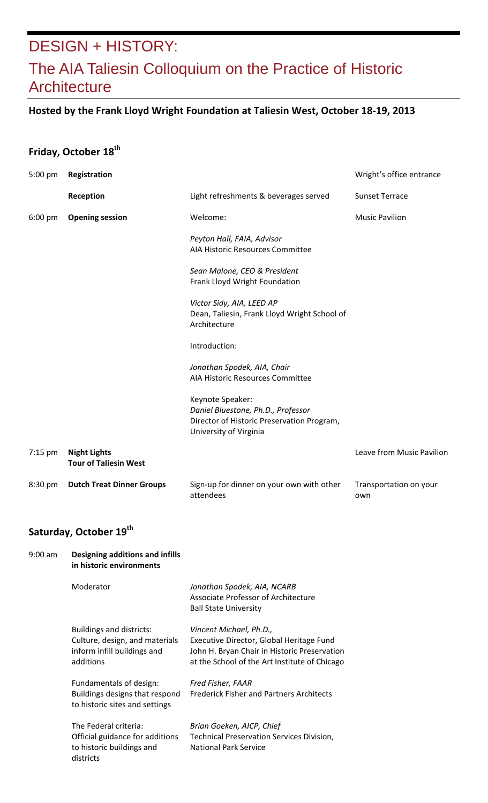## DESIGN + HISTORY: The AIA Taliesin Colloquium on the Practice of Historic **Architecture**

### **Hosted by the Frank Lloyd Wright Foundation at Taliesin West, October 18‐19, 2013**

### **Friday, October 18th**

| 5:00 pm           | Registration                                        | Wright's office entrance                                                                                                       |                               |
|-------------------|-----------------------------------------------------|--------------------------------------------------------------------------------------------------------------------------------|-------------------------------|
|                   | Reception                                           | Light refreshments & beverages served                                                                                          | <b>Sunset Terrace</b>         |
| $6:00 \text{ pm}$ | <b>Opening session</b>                              | Welcome:                                                                                                                       | <b>Music Pavilion</b>         |
|                   |                                                     | Peyton Hall, FAIA, Advisor<br>AIA Historic Resources Committee                                                                 |                               |
|                   |                                                     | Sean Malone, CEO & President<br>Frank Lloyd Wright Foundation                                                                  |                               |
|                   |                                                     | Victor Sidy, AIA, LEED AP<br>Dean, Taliesin, Frank Lloyd Wright School of<br>Architecture                                      |                               |
|                   |                                                     | Introduction:                                                                                                                  |                               |
|                   |                                                     | Jonathan Spodek, AIA, Chair<br>AIA Historic Resources Committee                                                                |                               |
|                   |                                                     | Keynote Speaker:<br>Daniel Bluestone, Ph.D., Professor<br>Director of Historic Preservation Program,<br>University of Virginia |                               |
| $7:15$ pm         | <b>Night Lights</b><br><b>Tour of Taliesin West</b> |                                                                                                                                | Leave from Music Pavilion     |
| 8:30 pm           | <b>Dutch Treat Dinner Groups</b>                    | Sign-up for dinner on your own with other<br>attendees                                                                         | Transportation on your<br>own |

#### **Saturday, October 19th**

| Designing additions and infills<br>in historic environments                                                   |                                                                                                                                                                      |
|---------------------------------------------------------------------------------------------------------------|----------------------------------------------------------------------------------------------------------------------------------------------------------------------|
| Moderator                                                                                                     | Jonathan Spodek, AIA, NCARB<br>Associate Professor of Architecture<br><b>Ball State University</b>                                                                   |
| <b>Buildings and districts:</b><br>Culture, design, and materials<br>inform infill buildings and<br>additions | Vincent Michael, Ph.D.,<br>Executive Director, Global Heritage Fund<br>John H. Bryan Chair in Historic Preservation<br>at the School of the Art Institute of Chicago |
| Fundamentals of design:<br>Buildings designs that respond<br>to historic sites and settings                   | Fred Fisher, FAAR<br><b>Frederick Fisher and Partners Architects</b>                                                                                                 |
| The Federal criteria:<br>Official guidance for additions<br>to historic buildings and<br>districts            | Brian Goeken, AICP, Chief<br><b>Technical Preservation Services Division,</b><br><b>National Park Service</b>                                                        |
|                                                                                                               |                                                                                                                                                                      |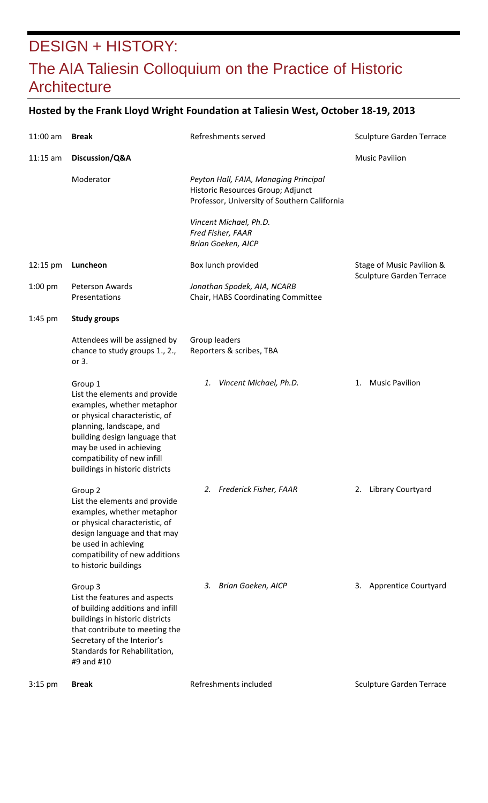## DESIGN + HISTORY: The AIA Taliesin Colloquium on the Practice of Historic **Architecture**

### **Hosted by the Frank Lloyd Wright Foundation at Taliesin West, October 18‐19, 2013**

| $11:00$ am | <b>Break</b>                                                                                                                                                                                                                                                        | Refreshments served                                                                                                        | <b>Sculpture Garden Terrace</b> |
|------------|---------------------------------------------------------------------------------------------------------------------------------------------------------------------------------------------------------------------------------------------------------------------|----------------------------------------------------------------------------------------------------------------------------|---------------------------------|
| $11:15$ am | Discussion/Q&A                                                                                                                                                                                                                                                      |                                                                                                                            | <b>Music Pavilion</b>           |
|            | Moderator                                                                                                                                                                                                                                                           | Peyton Hall, FAIA, Managing Principal<br>Historic Resources Group; Adjunct<br>Professor, University of Southern California |                                 |
|            |                                                                                                                                                                                                                                                                     | Vincent Michael, Ph.D.<br>Fred Fisher, FAAR<br><b>Brian Goeken, AICP</b>                                                   |                                 |
| 12:15 pm   | Luncheon                                                                                                                                                                                                                                                            | Box lunch provided                                                                                                         | Stage of Music Pavilion &       |
| $1:00$ pm  | <b>Peterson Awards</b><br>Presentations                                                                                                                                                                                                                             | Jonathan Spodek, AIA, NCARB<br>Chair, HABS Coordinating Committee                                                          | <b>Sculpture Garden Terrace</b> |
| $1:45$ pm  | <b>Study groups</b>                                                                                                                                                                                                                                                 |                                                                                                                            |                                 |
|            | Attendees will be assigned by<br>chance to study groups 1., 2.,<br>or 3.                                                                                                                                                                                            | Group leaders<br>Reporters & scribes, TBA                                                                                  |                                 |
|            | Group 1<br>List the elements and provide<br>examples, whether metaphor<br>or physical characteristic, of<br>planning, landscape, and<br>building design language that<br>may be used in achieving<br>compatibility of new infill<br>buildings in historic districts | Vincent Michael, Ph.D.<br>1.                                                                                               | <b>Music Pavilion</b><br>1.     |
|            | Group <sub>2</sub><br>List the elements and provide<br>examples, whether metaphor<br>or physical characteristic, of<br>design language and that may<br>be used in achieving<br>compatibility of new additions<br>to historic buildings                              | 2. Frederick Fisher, FAAR                                                                                                  | 2. Library Courtyard            |
|            | Group 3<br>List the features and aspects<br>of building additions and infill<br>buildings in historic districts<br>that contribute to meeting the<br>Secretary of the Interior's<br>Standards for Rehabilitation,<br>#9 and #10                                     | Brian Goeken, AICP<br>3.                                                                                                   | 3. Apprentice Courtyard         |
| $3:15$ pm  | <b>Break</b>                                                                                                                                                                                                                                                        | Refreshments included                                                                                                      | <b>Sculpture Garden Terrace</b> |